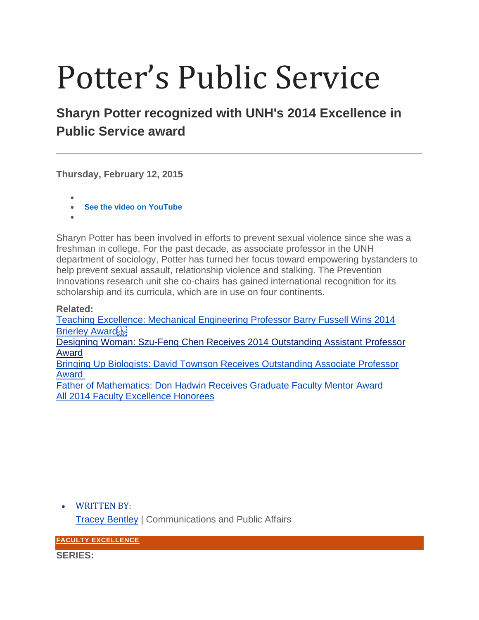## Potter's Public Service

## **Sharyn Potter recognized with UNH's 2014 Excellence in Public Service award**

**Thursday, February 12, 2015**

- • **[See the video on YouTube](https://www.youtube.com/watch?v=_kM2K2IOAuA)**
- •

Sharyn Potter has been involved in efforts to prevent sexual violence since she was a freshman in college. For the past decade, as associate professor in the UNH department of sociology, Potter has turned her focus toward empowering bystanders to help prevent sexual assault, relationship violence and stalking. The Prevention Innovations research unit she co-chairs has gained international recognition for its scholarship and its curricula, which are in use on four continents.

**Related:**

[Teaching Excellence: Mechanical Engineering Professor Barry Fussell Wins 2014](http://unh.edu/unhtoday/2014/11/teaching-excellence)  **[Brierley Award](http://unh.edu/unhtoday/2014/11/teaching-excellence)** 

[Designing Woman: Szu-Feng Chen Receives 2014 Outstanding Assistant Professor](http://unh.edu/unhtoday/2014/12/designing-woman)  [Award](http://unh.edu/unhtoday/2014/12/designing-woman)

[Bringing Up Biologists: David Townson Receives Outstanding Associate Professor](http://unh.edu/unhtoday/2015/01/bringing-biologists)  [Award](http://unh.edu/unhtoday/2015/01/bringing-biologists)

[Father of Mathematics: Don Hadwin Receives Graduate Faculty Mentor Award](http://unh.edu/unhtoday/2015/02/father-mathematics) [All 2014 Faculty Excellence Honorees](http://www.unh.edu/facultyexcellence/2014/index.html)

• WRITTEN BY:

[Tracey Bentley](https://www.unh.edu/unhtoday/contributor/tracey-bentley-1) | Communications and Public Affairs

**[FACULTY EXCELLENCE](https://www.unh.edu/unhtoday/series/faculty-excellence)**

**SERIES:**